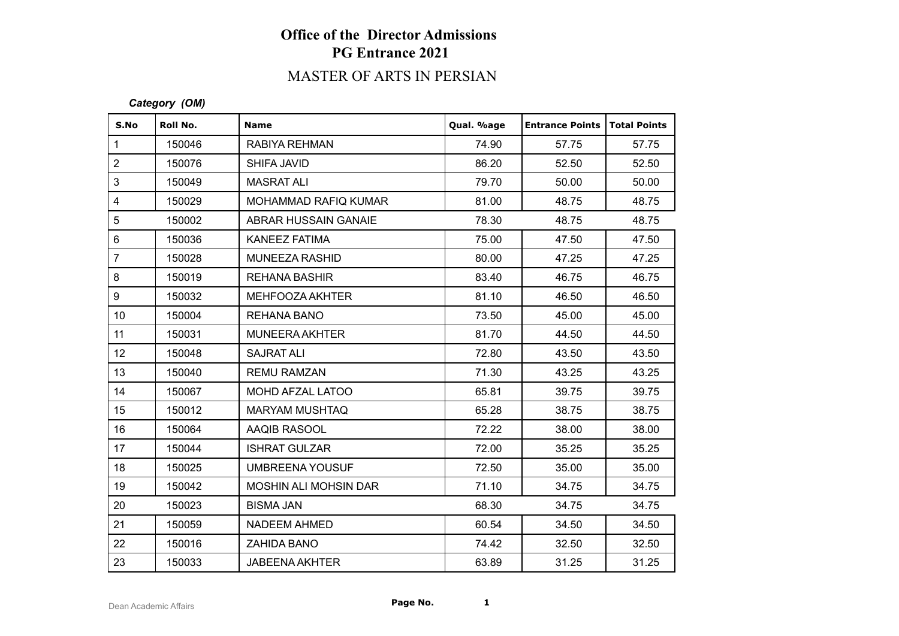# **Office of the Director Admissions PG Entrance 2021**

# MASTER OF ARTS IN PERSIAN

### *Category (OM)*

| S.No                    | Roll No. | <b>Name</b>                  | Qual. %age | <b>Entrance Points   Total Points</b> |       |
|-------------------------|----------|------------------------------|------------|---------------------------------------|-------|
| $\mathbf{1}$            | 150046   | RABIYA REHMAN                | 74.90      | 57.75                                 | 57.75 |
| $\overline{2}$          | 150076   | SHIFA JAVID                  | 86.20      | 52.50                                 | 52.50 |
| 3                       | 150049   | <b>MASRAT ALI</b>            | 79.70      | 50.00                                 | 50.00 |
| $\overline{\mathbf{4}}$ | 150029   | MOHAMMAD RAFIQ KUMAR         | 81.00      | 48.75                                 | 48.75 |
| 5                       | 150002   | ABRAR HUSSAIN GANAIE         | 78.30      | 48.75                                 | 48.75 |
| $\,6\,$                 | 150036   | KANEEZ FATIMA                | 75.00      | 47.50                                 | 47.50 |
| $\overline{7}$          | 150028   | MUNEEZA RASHID               | 80.00      | 47.25                                 | 47.25 |
| 8                       | 150019   | <b>REHANA BASHIR</b>         | 83.40      | 46.75                                 | 46.75 |
| 9                       | 150032   | MEHFOOZA AKHTER              | 81.10      | 46.50                                 | 46.50 |
| 10 <sup>1</sup>         | 150004   | REHANA BANO                  | 73.50      | 45.00                                 | 45.00 |
| 11                      | 150031   | <b>MUNEERA AKHTER</b>        | 81.70      | 44.50                                 | 44.50 |
| 12                      | 150048   | <b>SAJRAT ALI</b>            | 72.80      | 43.50                                 | 43.50 |
| 13                      | 150040   | <b>REMU RAMZAN</b>           | 71.30      | 43.25                                 | 43.25 |
| 14                      | 150067   | MOHD AFZAL LATOO             | 65.81      | 39.75                                 | 39.75 |
| 15 <sub>15</sub>        | 150012   | <b>MARYAM MUSHTAQ</b>        | 65.28      | 38.75                                 | 38.75 |
| 16                      | 150064   | AAQIB RASOOL                 | 72.22      | 38.00                                 | 38.00 |
| 17                      | 150044   | <b>ISHRAT GULZAR</b>         | 72.00      | 35.25                                 | 35.25 |
| 18                      | 150025   | <b>UMBREENA YOUSUF</b>       | 72.50      | 35.00                                 | 35.00 |
| 19                      | 150042   | <b>MOSHIN ALI MOHSIN DAR</b> | 71.10      | 34.75                                 | 34.75 |
| 20                      | 150023   | <b>BISMA JAN</b>             | 68.30      | 34.75                                 | 34.75 |
| 21                      | 150059   | <b>NADEEM AHMED</b>          | 60.54      | 34.50                                 | 34.50 |
| 22                      | 150016   | <b>ZAHIDA BANO</b>           | 74.42      | 32.50                                 | 32.50 |
| 23                      | 150033   | <b>JABEENA AKHTER</b>        | 63.89      | 31.25                                 | 31.25 |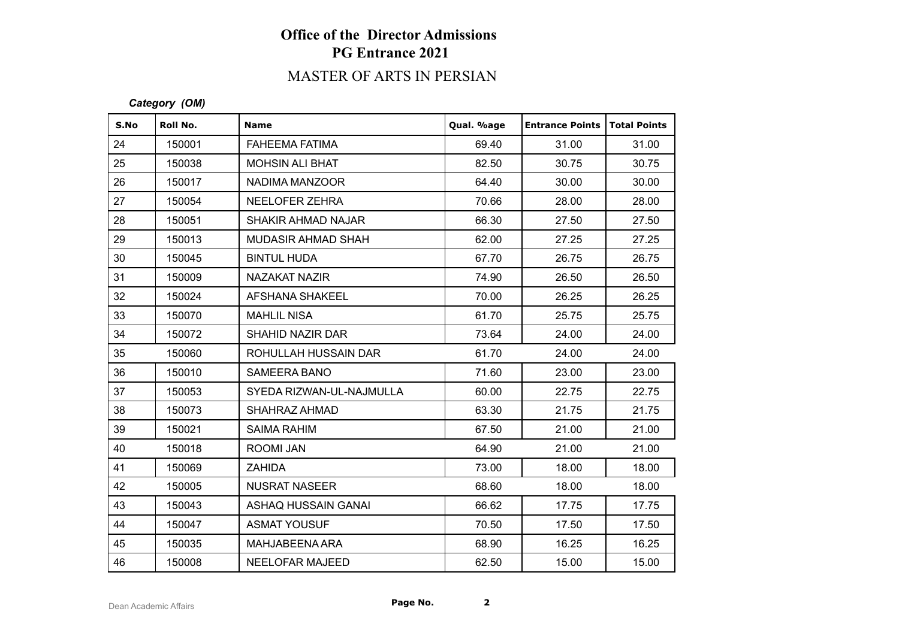# **Office of the Director Admissions PG Entrance 2021**

# MASTER OF ARTS IN PERSIAN

### *Category (OM)*

| S.No | Roll No. | <b>Name</b>              | Qual. %age | <b>Entrance Points</b> | Total Points |
|------|----------|--------------------------|------------|------------------------|--------------|
| 24   | 150001   | <b>FAHEEMA FATIMA</b>    | 69.40      | 31.00                  | 31.00        |
| 25   | 150038   | <b>MOHSIN ALI BHAT</b>   | 82.50      | 30.75                  | 30.75        |
| 26   | 150017   | NADIMA MANZOOR           | 64.40      | 30.00                  | 30.00        |
| 27   | 150054   | NEELOFER ZEHRA           | 70.66      | 28.00                  | 28.00        |
| 28   | 150051   | SHAKIR AHMAD NAJAR       | 66.30      | 27.50                  | 27.50        |
| 29   | 150013   | MUDASIR AHMAD SHAH       | 62.00      | 27.25                  | 27.25        |
| 30   | 150045   | <b>BINTUL HUDA</b>       | 67.70      | 26.75                  | 26.75        |
| 31   | 150009   | NAZAKAT NAZIR            | 74.90      | 26.50                  | 26.50        |
| 32   | 150024   | <b>AFSHANA SHAKEEL</b>   | 70.00      | 26.25                  | 26.25        |
| 33   | 150070   | <b>MAHLIL NISA</b>       | 61.70      | 25.75                  | 25.75        |
| 34   | 150072   | <b>SHAHID NAZIR DAR</b>  | 73.64      | 24.00                  | 24.00        |
| 35   | 150060   | ROHULLAH HUSSAIN DAR     | 61.70      | 24.00                  | 24.00        |
| 36   | 150010   | SAMEERA BANO             | 71.60      | 23.00                  | 23.00        |
| 37   | 150053   | SYEDA RIZWAN-UL-NAJMULLA | 60.00      | 22.75                  | 22.75        |
| 38   | 150073   | SHAHRAZ AHMAD            | 63.30      | 21.75                  | 21.75        |
| 39   | 150021   | <b>SAIMA RAHIM</b>       | 67.50      | 21.00                  | 21.00        |
| 40   | 150018   | ROOMI JAN                | 64.90      | 21.00                  | 21.00        |
| 41   | 150069   | <b>ZAHIDA</b>            | 73.00      | 18.00                  | 18.00        |
| 42   | 150005   | <b>NUSRAT NASEER</b>     | 68.60      | 18.00                  | 18.00        |
| 43   | 150043   | ASHAQ HUSSAIN GANAI      | 66.62      | 17.75                  | 17.75        |
| 44   | 150047   | <b>ASMAT YOUSUF</b>      | 70.50      | 17.50                  | 17.50        |
| 45   | 150035   | MAHJABEENA ARA           | 68.90      | 16.25                  | 16.25        |
| 46   | 150008   | <b>NEELOFAR MAJEED</b>   | 62.50      | 15.00                  | 15.00        |